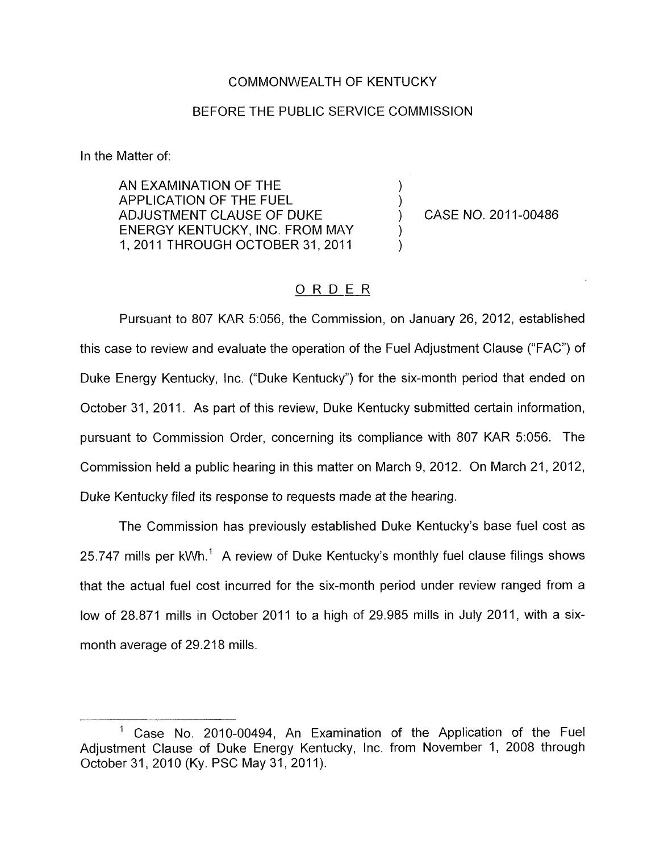## COMMONWEALTH OF KENTUCKY

## BEFORE THE PUBLIC SERVICE COMMISSION

In the Matter of:

AN EXAMINATION OF THE<br>APPLICATION OF THE FUEL ADJUSTMENT CLAUSE OF DUKE (2011-00486) ENERGY KENTUCKY, INC. FROM MAY 1, 2011 THROUGH OCTOBER 31, 2011

## ORDER

Pursuant to 807 KAR 5:056, the Commission, on January 26, 2012, established this case to review and evaluate the operation of the Fuel Adjustment Clause ("FAC") of Duke Energy Kentucky, Inc. ("Duke Kentucky") for the six-month period that ended on October 31, 2011. As part of this review, Duke Kentucky submitted certain information, pursuant to Commission Order, concerning its compliance with 807 KAR 5:056. The Commission held a public hearing in this matter on March 9, 2012. On March 21 , 2012, Duke Kentucky filed its response to requests made at the hearing.

The Commission has previously established Duke Kentucky's base fuel cost as 25.747 mills per kWh.' A review of Duke Kentucky's monthly fuel clause filings shows that the actual fuel cost incurred for the six-month period under review ranged from a low of 28.871 mills in October 2011 to a high of 29.985 mills in July 2011, with a sixmonth average of 29.218 mills.

Case No. 2010-00494, An Examination of the Application of the Fuel Adjustment Clause of Duke Energy Kentucky, Inc. from November 1, 2008 through October 31, 2010 (Ky. PSC May 31, 2011). 1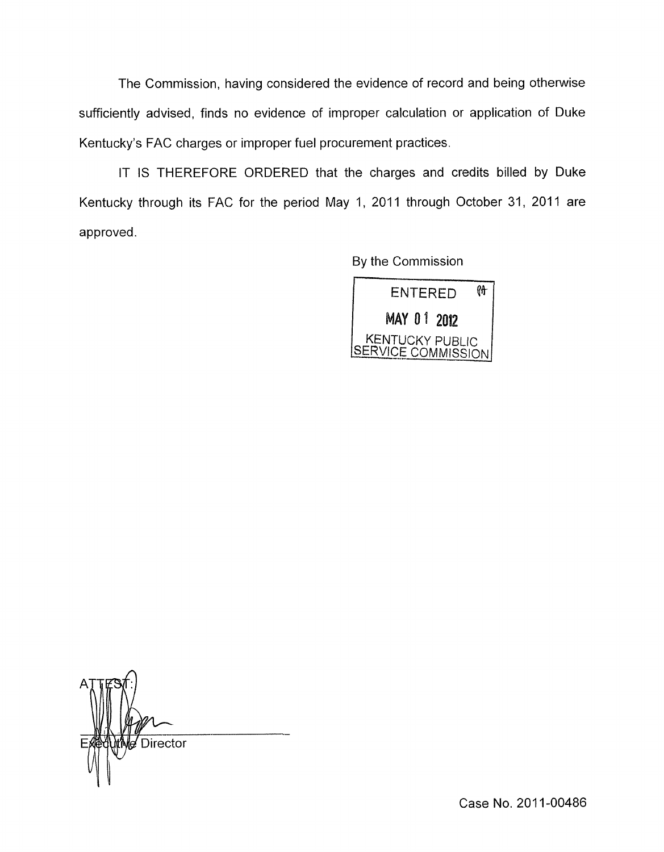The Commission, having considered the evidence of record and being otherwise sufficiently advised, finds no evidence of improper calculation or application of Duke Kentucky's FAC charges or improper fuel procurement practices.

IT IS THEREFORE ORDERED that the charges and credits billed by Duke Kentucky through its FAC for the period May 1, 2011 through October 31, 2011 are approved.

By the Commission



**Director** li -

Case No. 2011-00486